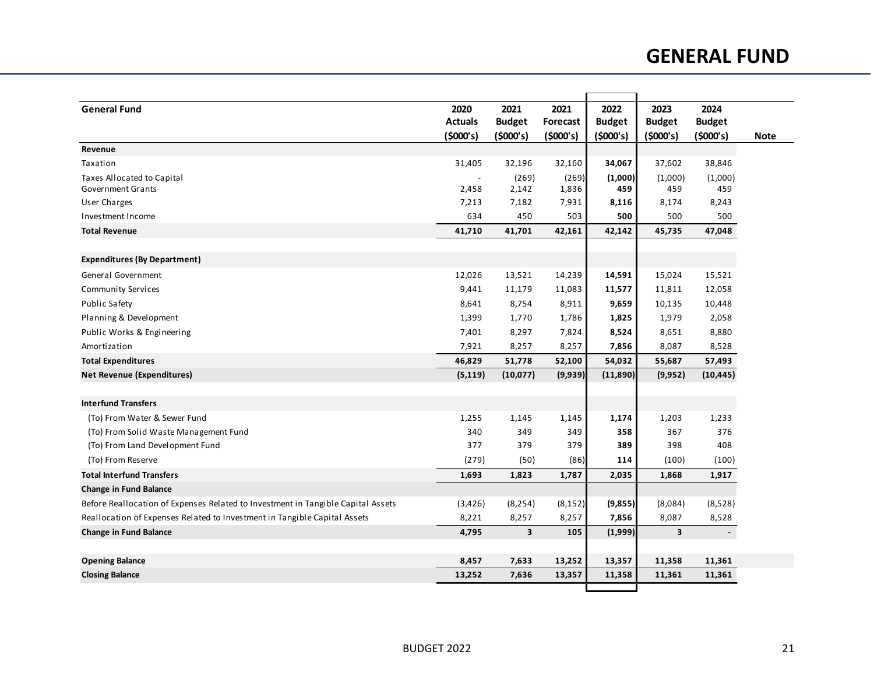## **GENERAL FUND**

| <b>General Fund</b>                                                              | 2020           | 2021                    | 2021            | 2022          | 2023                    | 2024                     |             |
|----------------------------------------------------------------------------------|----------------|-------------------------|-----------------|---------------|-------------------------|--------------------------|-------------|
|                                                                                  | <b>Actuals</b> | <b>Budget</b>           | <b>Forecast</b> | <b>Budget</b> | <b>Budget</b>           | <b>Budget</b>            |             |
|                                                                                  | (5000's)       | (5000's)                | (5000's)        | (5000's)      | (5000's)                | (5000's)                 | <b>Note</b> |
| Revenue                                                                          |                |                         |                 |               |                         |                          |             |
| Taxation                                                                         | 31,405         | 32,196                  | 32,160          | 34,067        | 37,602                  | 38,846                   |             |
| Taxes Allocated to Capital                                                       |                | (269)                   | (269)           | (1,000)       | (1,000)                 | (1,000)                  |             |
| <b>Government Grants</b>                                                         | 2,458          | 2,142                   | 1,836           | 459           | 459                     | 459                      |             |
| User Charges                                                                     | 7,213          | 7,182                   | 7,931           | 8,116         | 8,174                   | 8,243                    |             |
| Investment Income                                                                | 634            | 450                     | 503             | 500           | 500                     | 500                      |             |
| <b>Total Revenue</b>                                                             | 41,710         | 41,701                  | 42,161          | 42,142        | 45,735                  | 47,048                   |             |
| <b>Expenditures (By Department)</b>                                              |                |                         |                 |               |                         |                          |             |
| General Government                                                               | 12,026         | 13,521                  | 14,239          | 14,591        | 15,024                  | 15,521                   |             |
| <b>Community Services</b>                                                        | 9,441          | 11,179                  | 11,083          | 11,577        | 11,811                  | 12,058                   |             |
| <b>Public Safety</b>                                                             | 8,641          | 8,754                   | 8,911           | 9,659         | 10,135                  | 10,448                   |             |
| Planning & Development                                                           | 1,399          | 1,770                   | 1,786           | 1,825         | 1,979                   | 2,058                    |             |
| Public Works & Engineering                                                       | 7,401          | 8,297                   | 7,824           | 8,524         | 8,651                   | 8,880                    |             |
| Amortization                                                                     | 7,921          | 8,257                   | 8,257           | 7,856         | 8,087                   | 8,528                    |             |
| <b>Total Expenditures</b>                                                        | 46,829         | 51,778                  | 52,100          | 54,032        | 55,687                  | 57,493                   |             |
| <b>Net Revenue (Expenditures)</b>                                                | (5, 119)       | (10,077)                | (9,939)         | (11,890)      | (9,952)                 | (10, 445)                |             |
| <b>Interfund Transfers</b>                                                       |                |                         |                 |               |                         |                          |             |
| (To) From Water & Sewer Fund                                                     | 1,255          | 1,145                   | 1,145           | 1,174         | 1,203                   | 1,233                    |             |
| (To) From Solid Waste Management Fund                                            | 340            | 349                     | 349             | 358           | 367                     | 376                      |             |
| (To) From Land Development Fund                                                  | 377            | 379                     | 379             | 389           | 398                     | 408                      |             |
| (To) From Reserve                                                                | (279)          | (50)                    | (86)            | 114           | (100)                   | (100)                    |             |
| <b>Total Interfund Transfers</b>                                                 | 1,693          | 1,823                   | 1,787           | 2,035         | 1,868                   | 1,917                    |             |
| <b>Change in Fund Balance</b>                                                    |                |                         |                 |               |                         |                          |             |
| Before Reallocation of Expenses Related to Investment in Tangible Capital Assets | (3,426)        | (8, 254)                | (8, 152)        | (9,855)       | (8,084)                 | (8,528)                  |             |
| Reallocation of Expenses Related to Investment in Tangible Capital Assets        | 8,221          | 8,257                   | 8,257           | 7,856         | 8,087                   | 8,528                    |             |
| <b>Change in Fund Balance</b>                                                    | 4,795          | $\overline{\mathbf{3}}$ | 105             | (1,999)       | $\overline{\mathbf{3}}$ | $\overline{\phantom{a}}$ |             |
| <b>Opening Balance</b>                                                           | 8,457          | 7,633                   | 13,252          | 13,357        | 11,358                  | 11,361                   |             |
| <b>Closing Balance</b>                                                           | 13,252         | 7,636                   | 13,357          | 11,358        | 11,361                  | 11,361                   |             |
|                                                                                  |                |                         |                 |               |                         |                          |             |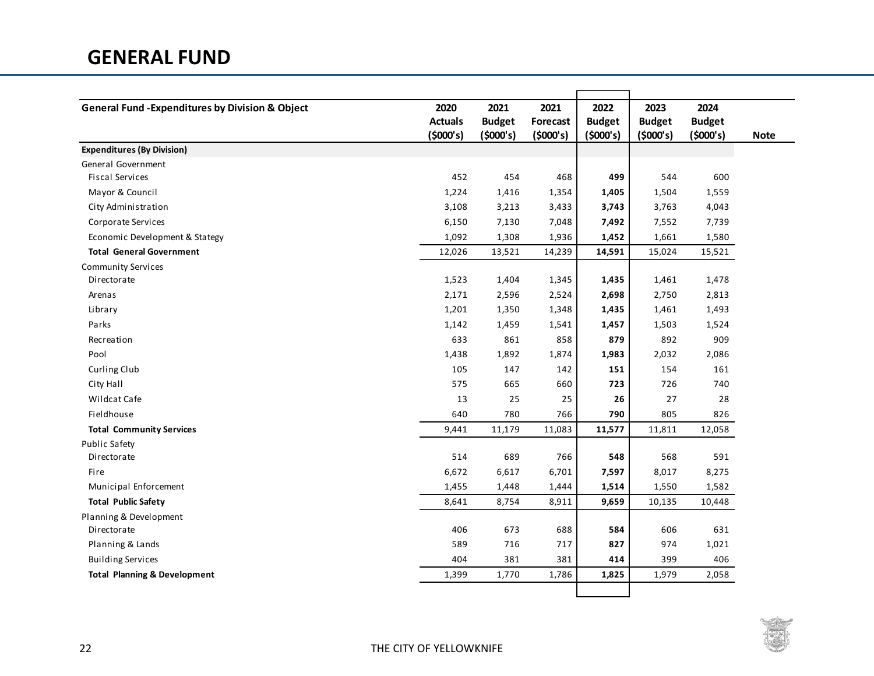| <b>General Fund - Expenditures by Division &amp; Object</b> | 2020<br><b>Actuals</b><br>(5000's) | 2021<br><b>Budget</b><br>(5000's) | 2021<br>Forecast<br>(5000's) | 2022<br><b>Budget</b><br>(5000's) | 2023<br><b>Budget</b><br>(5000's) | 2024<br><b>Budget</b><br>(5000's) | <b>Note</b> |
|-------------------------------------------------------------|------------------------------------|-----------------------------------|------------------------------|-----------------------------------|-----------------------------------|-----------------------------------|-------------|
| <b>Expenditures (By Division)</b>                           |                                    |                                   |                              |                                   |                                   |                                   |             |
| General Government                                          |                                    |                                   |                              |                                   |                                   |                                   |             |
| <b>Fiscal Services</b>                                      | 452                                | 454                               | 468                          | 499                               | 544                               | 600                               |             |
| Mayor & Council                                             | 1,224                              | 1,416                             | 1,354                        | 1,405                             | 1,504                             | 1,559                             |             |
| City Administration                                         | 3,108                              | 3,213                             | 3,433                        | 3,743                             | 3,763                             | 4,043                             |             |
| Corporate Services                                          | 6,150                              | 7,130                             | 7,048                        | 7,492                             | 7,552                             | 7,739                             |             |
| Economic Development & Stategy                              | 1,092                              | 1,308                             | 1,936                        | 1,452                             | 1,661                             | 1,580                             |             |
| <b>Total General Government</b>                             | 12,026                             | 13,521                            | 14,239                       | 14,591                            | 15,024                            | 15,521                            |             |
| <b>Community Services</b>                                   |                                    |                                   |                              |                                   |                                   |                                   |             |
| Directorate                                                 | 1,523                              | 1,404                             | 1,345                        | 1,435                             | 1,461                             | 1,478                             |             |
| Arenas                                                      | 2,171                              | 2,596                             | 2,524                        | 2,698                             | 2,750                             | 2,813                             |             |
| Library                                                     | 1,201                              | 1,350                             | 1,348                        | 1,435                             | 1,461                             | 1,493                             |             |
| Parks                                                       | 1,142                              | 1,459                             | 1,541                        | 1,457                             | 1,503                             | 1,524                             |             |
| Recreation                                                  | 633                                | 861                               | 858                          | 879                               | 892                               | 909                               |             |
| Pool                                                        | 1,438                              | 1,892                             | 1,874                        | 1,983                             | 2,032                             | 2,086                             |             |
| Curling Club                                                | 105                                | 147                               | 142                          | 151                               | 154                               | 161                               |             |
| City Hall                                                   | 575                                | 665                               | 660                          | 723                               | 726                               | 740                               |             |
| Wildcat Cafe                                                | 13                                 | 25                                | 25                           | 26                                | 27                                | 28                                |             |
| Fieldhouse                                                  | 640                                | 780                               | 766                          | 790                               | 805                               | 826                               |             |
| <b>Total Community Services</b>                             | 9,441                              | 11,179                            | 11,083                       | 11,577                            | 11,811                            | 12,058                            |             |
| <b>Public Safety</b>                                        |                                    |                                   |                              |                                   |                                   |                                   |             |
| Directorate                                                 | 514                                | 689                               | 766                          | 548                               | 568                               | 591                               |             |
| Fire                                                        | 6,672                              | 6,617                             | 6,701                        | 7,597                             | 8,017                             | 8,275                             |             |
| Municipal Enforcement                                       | 1,455                              | 1,448                             | 1,444                        | 1,514                             | 1,550                             | 1,582                             |             |
| <b>Total Public Safety</b>                                  | 8,641                              | 8,754                             | 8,911                        | 9,659                             | 10,135                            | 10,448                            |             |
| Planning & Development                                      |                                    |                                   |                              |                                   |                                   |                                   |             |
| Directorate                                                 | 406                                | 673                               | 688                          | 584                               | 606                               | 631                               |             |
| Planning & Lands                                            | 589                                | 716                               | 717                          | 827                               | 974                               | 1,021                             |             |
| <b>Building Services</b>                                    | 404                                | 381                               | 381                          | 414                               | 399                               | 406                               |             |
| <b>Total Planning &amp; Development</b>                     | 1,399                              | 1,770                             | 1,786                        | 1,825                             | 1,979                             | 2,058                             |             |
|                                                             |                                    |                                   |                              |                                   |                                   |                                   |             |

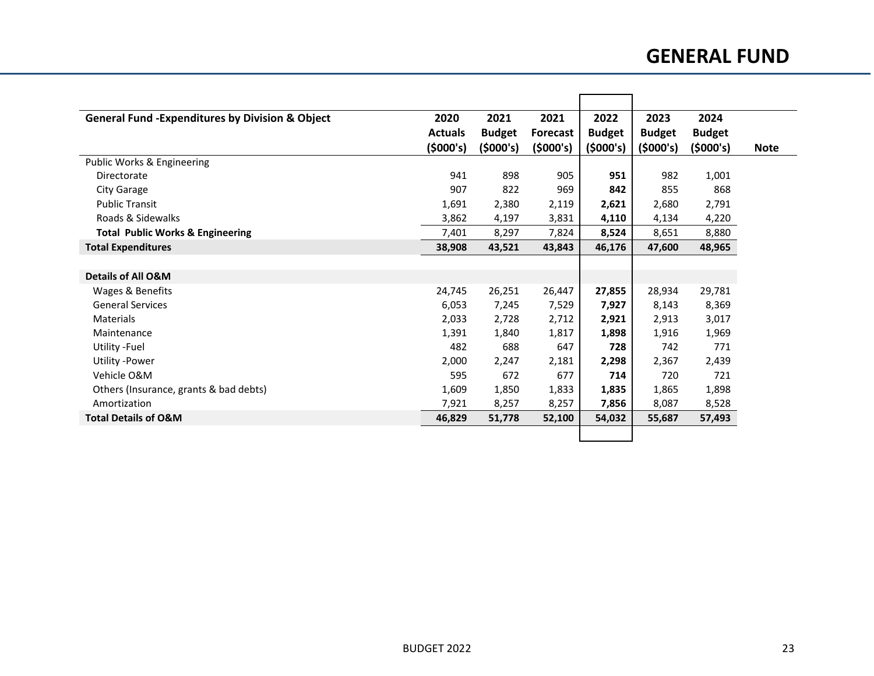## **GENERAL FUND**

| <b>General Fund -Expenditures by Division &amp; Object</b> | 2020           | 2021          | 2021            | 2022          | 2023          | 2024          |
|------------------------------------------------------------|----------------|---------------|-----------------|---------------|---------------|---------------|
|                                                            | <b>Actuals</b> | <b>Budget</b> | <b>Forecast</b> | <b>Budget</b> | <b>Budget</b> | <b>Budget</b> |
|                                                            | (5000's)       | (5000's)      | (5000's)        | (5000's)      | (5000's)      | (5000's)      |
| Public Works & Engineering                                 |                |               |                 |               |               |               |
| Directorate                                                | 941            | 898           | 905             | 951           | 982           | 1,001         |
| <b>City Garage</b>                                         | 907            | 822           | 969             | 842           | 855           | 868           |
| <b>Public Transit</b>                                      | 1,691          | 2,380         | 2,119           | 2,621         | 2,680         | 2,791         |
| Roads & Sidewalks                                          | 3,862          | 4,197         | 3,831           | 4,110         | 4,134         | 4,220         |
| <b>Total Public Works &amp; Engineering</b>                | 7,401          | 8,297         | 7,824           | 8,524         | 8,651         | 8,880         |
| <b>Total Expenditures</b>                                  | 38,908         | 43,521        | 43,843          | 46,176        | 47,600        | 48,965        |
|                                                            |                |               |                 |               |               |               |
| Details of All O&M                                         |                |               |                 |               |               |               |
| Wages & Benefits                                           | 24,745         | 26,251        | 26,447          | 27,855        | 28,934        | 29,781        |
| <b>General Services</b>                                    | 6,053          | 7,245         | 7,529           | 7,927         | 8,143         | 8,369         |
| <b>Materials</b>                                           | 2,033          | 2,728         | 2,712           | 2,921         | 2,913         | 3,017         |
| Maintenance                                                | 1,391          | 1,840         | 1,817           | 1,898         | 1,916         | 1,969         |
| Utility - Fuel                                             | 482            | 688           | 647             | 728           | 742           | 771           |
| Utility -Power                                             | 2,000          | 2,247         | 2,181           | 2,298         | 2,367         | 2,439         |
| Vehicle O&M                                                | 595            | 672           | 677             | 714           | 720           | 721           |
| Others (Insurance, grants & bad debts)                     | 1,609          | 1,850         | 1,833           | 1,835         | 1,865         | 1,898         |
| Amortization                                               | 7,921          | 8,257         | 8,257           | 7,856         | 8,087         | 8,528         |
| <b>Total Details of O&amp;M</b>                            | 46,829         | 51,778        | 52,100          | 54,032        | 55,687        | 57,493        |